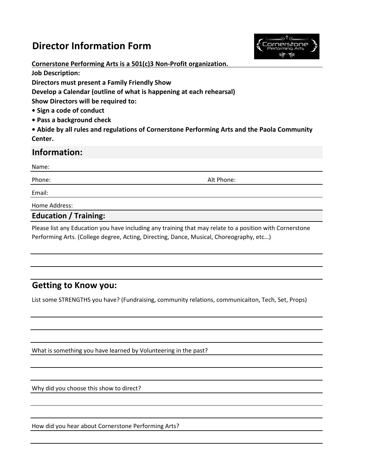# **Director Information Form**



**Cornerstone Performing Arts is a 501(c)3 Non-Profit organization. Job Description: Directors must present a Family Friendly Show Develop a Calendar (outline of what is happening at each rehearsal) Show Directors will be required to: • Sign a code of conduct** 

**• Pass a background check** 

**• Abide by all rules and regulations of Cornerstone Performing Arts and the Paola Community Center.** 

#### **Information:**

Name:

Phone: Alt Phone:

Email:

Home Address:

**Education / Training:**

Please list any Education you have including any training that may relate to a position with Cornerstone Performing Arts. (College degree, Acting, Directing, Dance, Musical, Choreography, etc…)

## **Getting to Know you:**

List some STRENGTHS you have? (Fundraising, community relations, communicaiton, Tech, Set, Props)

What is something you have learned by Volunteering in the past?

Why did you choose this show to direct?

How did you hear about Cornerstone Performing Arts?